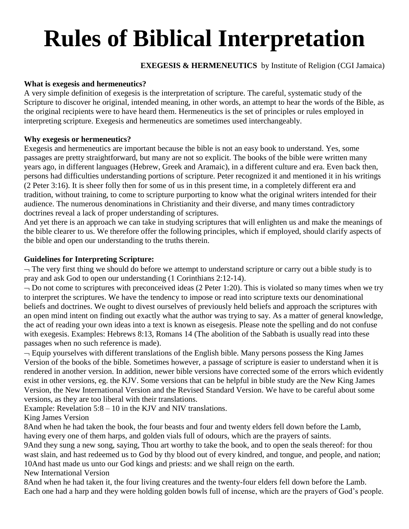# **Rules of Biblical Interpretation**

# **EXEGESIS & HERMENEUTICS** by Institute of Religion (CGI Jamaica)

### **What is exegesis and hermeneutics?**

A very simple definition of exegesis is the interpretation of scripture. The careful, systematic study of the Scripture to discover he original, intended meaning, in other words, an attempt to hear the words of the Bible, as the original recipients were to have heard them. Hermeneutics is the set of principles or rules employed in interpreting scripture. Exegesis and hermeneutics are sometimes used interchangeably.

#### **Why exegesis or hermeneutics?**

Exegesis and hermeneutics are important because the bible is not an easy book to understand. Yes, some passages are pretty straightforward, but many are not so explicit. The books of the bible were written many years ago, in different languages (Hebrew, Greek and Aramaic), in a different culture and era. Even back then, persons had difficulties understanding portions of scripture. Peter recognized it and mentioned it in his writings (2 Peter 3:16). It is sheer folly then for some of us in this present time, in a completely different era and tradition, without training, to come to scripture purporting to know what the original writers intended for their audience. The numerous denominations in Christianity and their diverse, and many times contradictory doctrines reveal a lack of proper understanding of scriptures.

And yet there is an approach we can take in studying scriptures that will enlighten us and make the meanings of the bible clearer to us. We therefore offer the following principles, which if employed, should clarify aspects of the bible and open our understanding to the truths therein.

## **Guidelines for Interpreting Scripture:**

 $\neg$  The very first thing we should do before we attempt to understand scripture or carry out a bible study is to pray and ask God to open our understanding (1 Corinthians 2:12-14).

 $\neg$  Do not come to scriptures with preconceived ideas (2 Peter 1:20). This is violated so many times when we try to interpret the scriptures. We have the tendency to impose or read into scripture texts our denominational beliefs and doctrines. We ought to divest ourselves of previously held beliefs and approach the scriptures with an open mind intent on finding out exactly what the author was trying to say. As a matter of general knowledge, the act of reading your own ideas into a text is known as eisegesis. Please note the spelling and do not confuse with exegesis. Examples: Hebrews 8:13, Romans 14 (The abolition of the Sabbath is usually read into these passages when no such reference is made).

 $\neg$  Equip yourselves with different translations of the English bible. Many persons possess the King James Version of the books of the bible. Sometimes however, a passage of scripture is easier to understand when it is rendered in another version. In addition, newer bible versions have corrected some of the errors which evidently exist in other versions, eg. the KJV. Some versions that can be helpful in bible study are the New King James Version, the New International Version and the Revised Standard Version. We have to be careful about some versions, as they are too liberal with their translations.

Example: Revelation 5:8 – 10 in the KJV and NIV translations.

## King James Version

8And when he had taken the book, the four beasts and four and twenty elders fell down before the Lamb, having every one of them harps, and golden vials full of odours, which are the prayers of saints.

9And they sung a new song, saying, Thou art worthy to take the book, and to open the seals thereof: for thou wast slain, and hast redeemed us to God by thy blood out of every kindred, and tongue, and people, and nation; 10And hast made us unto our God kings and priests: and we shall reign on the earth.

New International Version

8And when he had taken it, the four living creatures and the twenty-four elders fell down before the Lamb. Each one had a harp and they were holding golden bowls full of incense, which are the prayers of God's people.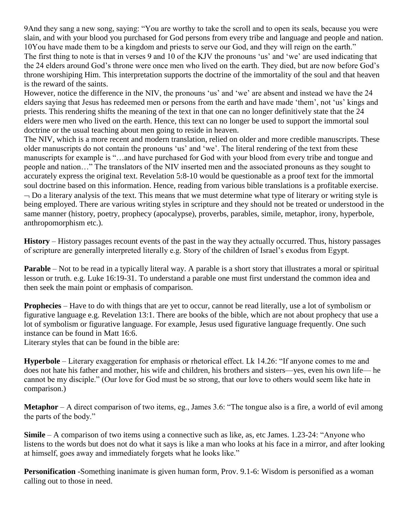9And they sang a new song, saying: "You are worthy to take the scroll and to open its seals, because you were slain, and with your blood you purchased for God persons from every tribe and language and people and nation. 10You have made them to be a kingdom and priests to serve our God, and they will reign on the earth." The first thing to note is that in verses 9 and 10 of the KJV the pronouns 'us' and 'we' are used indicating that the 24 elders around God's throne were once men who lived on the earth. They died, but are now before God's throne worshiping Him. This interpretation supports the doctrine of the immortality of the soul and that heaven is the reward of the saints.

However, notice the difference in the NIV, the pronouns 'us' and 'we' are absent and instead we have the 24 elders saying that Jesus has redeemed men or persons from the earth and have made 'them', not 'us' kings and priests. This rendering shifts the meaning of the text in that one can no longer definitively state that the 24 elders were men who lived on the earth. Hence, this text can no longer be used to support the immortal soul doctrine or the usual teaching about men going to reside in heaven.

The NIV, which is a more recent and modern translation, relied on older and more credible manuscripts. These older manuscripts do not contain the pronouns 'us' and 'we'. The literal rendering of the text from these manuscripts for example is "…and have purchased for God with your blood from every tribe and tongue and people and nation…" The translators of the NIV inserted men and the associated pronouns as they sought to accurately express the original text. Revelation 5:8-10 would be questionable as a proof text for the immortal soul doctrine based on this information. Hence, reading from various bible translations is a profitable exercise.  $\neg$  Do a literary analysis of the text. This means that we must determine what type of literary or writing style is being employed. There are various writing styles in scripture and they should not be treated or understood in the same manner (history, poetry, prophecy (apocalypse), proverbs, parables, simile, metaphor, irony, hyperbole, anthropomorphism etc.).

**History** – History passages recount events of the past in the way they actually occurred. Thus, history passages of scripture are generally interpreted literally e.g. Story of the children of Israel's exodus from Egypt.

**Parable** – Not to be read in a typically literal way. A parable is a short story that illustrates a moral or spiritual lesson or truth. e.g. Luke 16:19-31. To understand a parable one must first understand the common idea and then seek the main point or emphasis of comparison.

**Prophecies** – Have to do with things that are yet to occur, cannot be read literally, use a lot of symbolism or figurative language e.g. Revelation 13:1. There are books of the bible, which are not about prophecy that use a lot of symbolism or figurative language. For example, Jesus used figurative language frequently. One such instance can be found in Matt 16:6.

Literary styles that can be found in the bible are:

**Hyperbole** – Literary exaggeration for emphasis or rhetorical effect. Lk 14.26: "If anyone comes to me and does not hate his father and mother, his wife and children, his brothers and sisters—yes, even his own life— he cannot be my disciple." (Our love for God must be so strong, that our love to others would seem like hate in comparison.)

**Metaphor** – A direct comparison of two items, eg., James 3.6: "The tongue also is a fire, a world of evil among the parts of the body."

**Simile** – A comparison of two items using a connective such as like, as, etc James. 1.23-24: "Anyone who listens to the words but does not do what it says is like a man who looks at his face in a mirror, and after looking at himself, goes away and immediately forgets what he looks like."

**Personification** -Something inanimate is given human form, Prov. 9.1-6: Wisdom is personified as a woman calling out to those in need.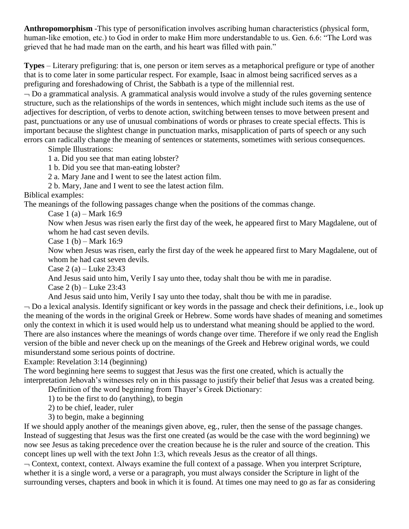**Anthropomorphism** -This type of personification involves ascribing human characteristics (physical form, human-like emotion, etc.) to God in order to make Him more understandable to us. Gen. 6.6: "The Lord was grieved that he had made man on the earth, and his heart was filled with pain."

**Types** – Literary prefiguring: that is, one person or item serves as a metaphorical prefigure or type of another that is to come later in some particular respect. For example, Isaac in almost being sacrificed serves as a prefiguring and foreshadowing of Christ, the Sabbath is a type of the millennial rest.

 $\neg$  Do a grammatical analysis. A grammatical analysis would involve a study of the rules governing sentence structure, such as the relationships of the words in sentences, which might include such items as the use of adjectives for description, of verbs to denote action, switching between tenses to move between present and past, punctuations or any use of unusual combinations of words or phrases to create special effects. This is important because the slightest change in punctuation marks, misapplication of parts of speech or any such errors can radically change the meaning of sentences or statements, sometimes with serious consequences.

Simple Illustrations:

1 a. Did you see that man eating lobster?

1 b. Did you see that man-eating lobster?

2 a. Mary Jane and I went to see the latest action film.

2 b. Mary, Jane and I went to see the latest action film.

#### Biblical examples:

The meanings of the following passages change when the positions of the commas change.

Case 1 (a) – Mark 16:9

Now when Jesus was risen early the first day of the week, he appeared first to Mary Magdalene, out of whom he had cast seven devils.

Case 1 (b) – Mark  $16:9$ 

Now when Jesus was risen, early the first day of the week he appeared first to Mary Magdalene, out of whom he had cast seven devils.

Case 2 (a) – Luke  $23:43$ 

And Jesus said unto him, Verily I say unto thee, today shalt thou be with me in paradise.

Case 2 (b) – Luke  $23:43$ 

And Jesus said unto him, Verily I say unto thee today, shalt thou be with me in paradise.

 $\neg$  Do a lexical analysis. Identify significant or key words in the passage and check their definitions, i.e., look up the meaning of the words in the original Greek or Hebrew. Some words have shades of meaning and sometimes only the context in which it is used would help us to understand what meaning should be applied to the word. There are also instances where the meanings of words change over time. Therefore if we only read the English version of the bible and never check up on the meanings of the Greek and Hebrew original words, we could misunderstand some serious points of doctrine.

Example: Revelation 3:14 (beginning)

The word beginning here seems to suggest that Jesus was the first one created, which is actually the interpretation Jehovah's witnesses rely on in this passage to justify their belief that Jesus was a created being.

Definition of the word beginning from Thayer's Greek Dictionary:

1) to be the first to do (anything), to begin

2) to be chief, leader, ruler

3) to begin, make a beginning

If we should apply another of the meanings given above, eg., ruler, then the sense of the passage changes. Instead of suggesting that Jesus was the first one created (as would be the case with the word beginning) we now see Jesus as taking precedence over the creation because he is the ruler and source of the creation. This concept lines up well with the text John 1:3, which reveals Jesus as the creator of all things.

 $\sim$  Context, context, context. Always examine the full context of a passage. When you interpret Scripture, whether it is a single word, a verse or a paragraph, you must always consider the Scripture in light of the surrounding verses, chapters and book in which it is found. At times one may need to go as far as considering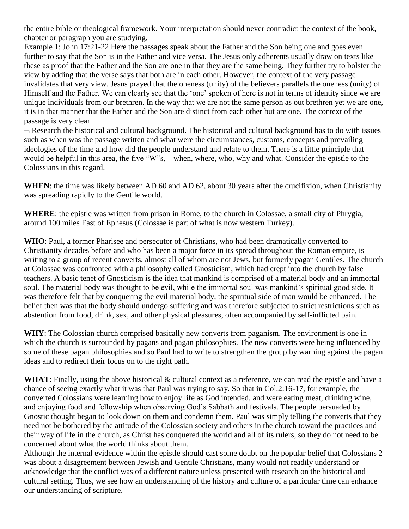the entire bible or theological framework. Your interpretation should never contradict the context of the book, chapter or paragraph you are studying.

Example 1: John 17:21-22 Here the passages speak about the Father and the Son being one and goes even further to say that the Son is in the Father and vice versa. The Jesus only adherents usually draw on texts like these as proof that the Father and the Son are one in that they are the same being. They further try to bolster the view by adding that the verse says that both are in each other. However, the context of the very passage invalidates that very view. Jesus prayed that the oneness (unity) of the believers parallels the oneness (unity) of Himself and the Father. We can clearly see that the 'one' spoken of here is not in terms of identity since we are unique individuals from our brethren. In the way that we are not the same person as out brethren yet we are one, it is in that manner that the Father and the Son are distinct from each other but are one. The context of the passage is very clear.

 Research the historical and cultural background. The historical and cultural background has to do with issues such as when was the passage written and what were the circumstances, customs, concepts and prevailing ideologies of the time and how did the people understand and relate to them. There is a little principle that would be helpful in this area, the five "W"s, – when, where, who, why and what. Consider the epistle to the Colossians in this regard.

**WHEN**: the time was likely between AD 60 and AD 62, about 30 years after the crucifixion, when Christianity was spreading rapidly to the Gentile world.

**WHERE**: the epistle was written from prison in Rome, to the church in Colossae, a small city of Phrygia, around 100 miles East of Ephesus (Colossae is part of what is now western Turkey).

**WHO**: Paul, a former Pharisee and persecutor of Christians, who had been dramatically converted to Christianity decades before and who has been a major force in its spread throughout the Roman empire, is writing to a group of recent converts, almost all of whom are not Jews, but formerly pagan Gentiles. The church at Colossae was confronted with a philosophy called Gnosticism, which had crept into the church by false teachers. A basic tenet of Gnosticism is the idea that mankind is comprised of a material body and an immortal soul. The material body was thought to be evil, while the immortal soul was mankind's spiritual good side. It was therefore felt that by conquering the evil material body, the spiritual side of man would be enhanced. The belief then was that the body should undergo suffering and was therefore subjected to strict restrictions such as abstention from food, drink, sex, and other physical pleasures, often accompanied by self-inflicted pain.

**WHY**: The Colossian church comprised basically new converts from paganism. The environment is one in which the church is surrounded by pagans and pagan philosophies. The new converts were being influenced by some of these pagan philosophies and so Paul had to write to strengthen the group by warning against the pagan ideas and to redirect their focus on to the right path.

WHAT: Finally, using the above historical & cultural context as a reference, we can read the epistle and have a chance of seeing exactly what it was that Paul was trying to say. So that in Col.2:16-17, for example, the converted Colossians were learning how to enjoy life as God intended, and were eating meat, drinking wine, and enjoying food and fellowship when observing God's Sabbath and festivals. The people persuaded by Gnostic thought began to look down on them and condemn them. Paul was simply telling the converts that they need not be bothered by the attitude of the Colossian society and others in the church toward the practices and their way of life in the church, as Christ has conquered the world and all of its rulers, so they do not need to be concerned about what the world thinks about them.

Although the internal evidence within the epistle should cast some doubt on the popular belief that Colossians 2 was about a disagreement between Jewish and Gentile Christians, many would not readily understand or acknowledge that the conflict was of a different nature unless presented with research on the historical and cultural setting. Thus, we see how an understanding of the history and culture of a particular time can enhance our understanding of scripture.